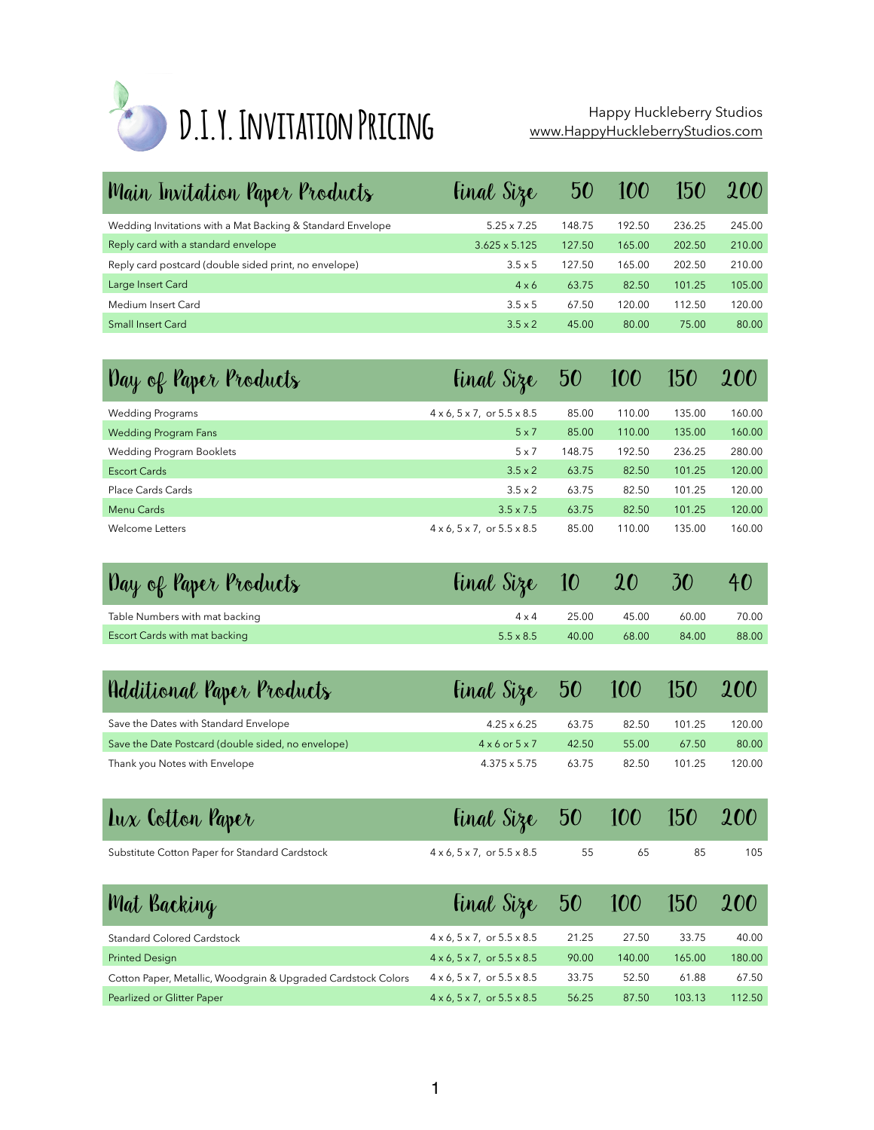

## Happy Huckleberry Studios<br>[www.HappyHuckleberryStudios.com](http://www.happyhuckleberrystudios.com)

| Main Invitation Paper Products                             | <b>Final Size</b>    | 50     | 100    | 150    | <b>200</b> |
|------------------------------------------------------------|----------------------|--------|--------|--------|------------|
| Wedding Invitations with a Mat Backing & Standard Envelope | $5.25 \times 7.25$   | 148.75 | 192.50 | 236.25 | 245.00     |
| Reply card with a standard envelope                        | $3.625 \times 5.125$ | 127.50 | 165.00 | 202.50 | 210.00     |
| Reply card postcard (double sided print, no envelope)      | $3.5 \times 5$       | 127.50 | 165.00 | 202.50 | 210.00     |
| Large Insert Card                                          | $4 \times 6$         | 63.75  | 82.50  | 101.25 | 105.00     |
| Medium Insert Card                                         | $3.5 \times 5$       | 67.50  | 120.00 | 112.50 | 120.00     |
| <b>Small Insert Card</b>                                   | $3.5 \times 2$       | 45.00  | 80.00  | 75.00  | 80.00      |

| Day of Paper Products       | <b>Final Size</b>                                 | 50     | 100    | 150    | <b>200</b> |
|-----------------------------|---------------------------------------------------|--------|--------|--------|------------|
| <b>Wedding Programs</b>     | $4 \times 6$ , $5 \times 7$ , or $5.5 \times 8.5$ | 85.00  | 110.00 | 135.00 | 160.00     |
| <b>Wedding Program Fans</b> | $5 \times 7$                                      | 85.00  | 110.00 | 135.00 | 160.00     |
| Wedding Program Booklets    | $5 \times 7$                                      | 148.75 | 192.50 | 236.25 | 280.00     |
| Escort Cards                | $3.5 \times 2$                                    | 63.75  | 82.50  | 101.25 | 120.00     |
| Place Cards Cards           | $3.5 \times 2$                                    | 63.75  | 82.50  | 101.25 | 120.00     |
| Menu Cards                  | $3.5 \times 7.5$                                  | 63.75  | 82.50  | 101.25 | 120.00     |
| Welcome Letters             | $4 \times 6$ , $5 \times 7$ , or $5.5 \times 8.5$ | 85.00  | 110.00 | 135.00 | 160.00     |

| Day of Paper Products          | <b>final Size 10 20 30</b> |       |       |       |       |
|--------------------------------|----------------------------|-------|-------|-------|-------|
| Table Numbers with mat backing | $4 \times 4$               | 25.00 | 45.00 | 60.00 | 70.00 |
| Escort Cards with mat backing  | $5.5 \times 8.5$           | 40.00 | 68.00 | 84.00 | 88.00 |

| Hdditional Paper Products                          | $\frac{3}{2}$ $\frac{100}{150}$ |       |       |        | <b>200</b> |
|----------------------------------------------------|---------------------------------|-------|-------|--------|------------|
| Save the Dates with Standard Envelope              | $4.25 \times 6.25$              | 63.75 | 82.50 | 101.25 | 120.00     |
| Save the Date Postcard (double sided, no envelope) | $4 \times 6$ or $5 \times 7$    | 42.50 | 55.00 | 67.50  | 80.00      |
| Thank you Notes with Envelope                      | $4.375 \times 5.75$             | 63.75 | 82.50 | 101.25 | 120.00     |

| Lux Cotton Paper                               | <b>final Size</b> 50 100 150 200                     |    |    |     |
|------------------------------------------------|------------------------------------------------------|----|----|-----|
| Substitute Cotton Paper for Standard Cardstock | $4 \times 6, 5 \times 7, \text{ or } 5.5 \times 8.5$ | 55 | 65 | 105 |

| Mat Backing                                                   | <b>final Size</b> 50 100 150                      |       |        |        | <b>200</b> |
|---------------------------------------------------------------|---------------------------------------------------|-------|--------|--------|------------|
| <b>Standard Colored Cardstock</b>                             | $4 \times 6$ , $5 \times 7$ , or $5.5 \times 8.5$ | 21.25 | 27.50  | 33.75  | 40.00      |
| <b>Printed Design</b>                                         | $4 \times 6$ , $5 \times 7$ , or $5.5 \times 8.5$ | 90.00 | 140.00 | 165.00 | 180.00     |
| Cotton Paper, Metallic, Woodgrain & Upgraded Cardstock Colors | $4 \times 6$ , $5 \times 7$ , or $5.5 \times 8.5$ | 33.75 | 52.50  | 61.88  | 67.50      |
| Pearlized or Glitter Paper                                    | $4 \times 6$ , $5 \times 7$ , or $5.5 \times 8.5$ | 56.25 | 87.50  | 103.13 | 112.50     |